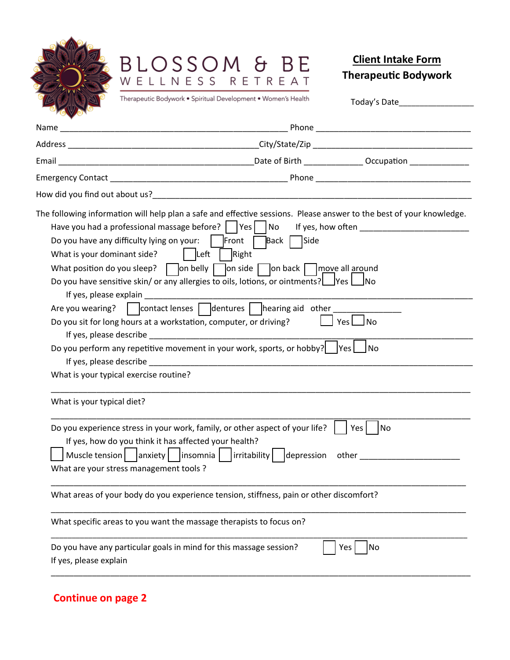

## BLOSSOM & BE<br>WELLNESS RETREAT

## **Client Intake Form Therapeutic Bodywork**

Today's Date\_\_\_\_\_\_\_\_\_\_\_\_\_\_\_\_\_\_

Therapeutic Bodywork . Spiritual Development . Women's Health

| What is your dominant side?                                                                      | The following information will help plan a safe and effective sessions. Please answer to the best of your knowledge.<br>Have you had a professional massage before?     Yes     No<br>Do you have any difficulty lying on your: $\parallel$  Front   Back   Side<br>$ $ Left<br>Right<br>What position do you sleep? $\Box$ on belly $\Box$ on side $\Box$ on back $\Box$ move all around<br>Do you have sensitive skin/ or any allergies to oils, lotions, or ointments? $\Box$ Yes $\Box$ No | If yes, how often <b>Exercise 2008</b> |
|--------------------------------------------------------------------------------------------------|------------------------------------------------------------------------------------------------------------------------------------------------------------------------------------------------------------------------------------------------------------------------------------------------------------------------------------------------------------------------------------------------------------------------------------------------------------------------------------------------|----------------------------------------|
| If yes, please explain                                                                           | Are you wearing?   contact lenses   dentures   hearing aid other<br>Do you sit for long hours at a workstation, computer, or driving?<br>If yes, please describe expansion of the state of the state of the state of the state of the state of the state of the state of the state of the state of the state of the state of the state of the state of the state of the<br>Do you perform any repetitive movement in your work, sports, or hobby?   Yes     No                                 | $Yes \Box No$                          |
| What is your typical exercise routine?                                                           | If yes, please describe experience and the set of the set of the set of the set of the set of the set of the set of the set of the set of the set of the set of the set of the set of the set of the set of the set of the set                                                                                                                                                                                                                                                                 |                                        |
| What is your typical diet?                                                                       |                                                                                                                                                                                                                                                                                                                                                                                                                                                                                                |                                        |
| If yes, how do you think it has affected your health?<br>What are your stress management tools ? | Do you experience stress in your work, family, or other aspect of your life?<br>Muscle tension     anxiety     insomnia     irritability     depression                                                                                                                                                                                                                                                                                                                                        | Yes I<br> No<br>other the controller   |
|                                                                                                  | What areas of your body do you experience tension, stiffness, pain or other discomfort?                                                                                                                                                                                                                                                                                                                                                                                                        |                                        |
|                                                                                                  | What specific areas to you want the massage therapists to focus on?                                                                                                                                                                                                                                                                                                                                                                                                                            |                                        |
| If yes, please explain                                                                           | Do you have any particular goals in mind for this massage session?                                                                                                                                                                                                                                                                                                                                                                                                                             | No<br>Yes                              |

## **Continue on page 2**